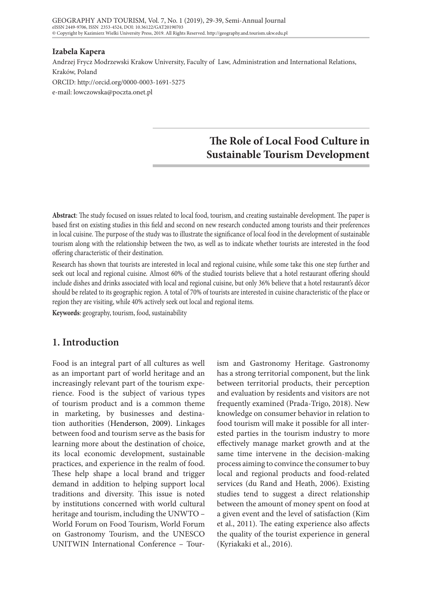#### **Izabela Kapera**

Andrzej Frycz Modrzewski Krakow University, Faculty of Law, Administration and International Relations, Kraków, Poland ORCID: http://orcid.org/0000-0003-1691-5275 e-mail: lowczowska@poczta.onet.pl

# **The Role of Local Food Culture in Sustainable Tourism Development**

**Abstract**: The study focused on issues related to local food, tourism, and creating sustainable development. The paper is based first on existing studies in this field and second on new research conducted among tourists and their preferences in local cuisine. The purpose of the study was to illustrate the significance of local food in the development of sustainable tourism along with the relationship between the two, as well as to indicate whether tourists are interested in the food offering characteristic of their destination.

Research has shown that tourists are interested in local and regional cuisine, while some take this one step further and seek out local and regional cuisine. Almost 60% of the studied tourists believe that a hotel restaurant offering should include dishes and drinks associated with local and regional cuisine, but only 36% believe that a hotel restaurant's décor should be related to its geographic region. A total of 70% of tourists are interested in cuisine characteristic of the place or region they are visiting, while 40% actively seek out local and regional items.

**Keywords**: geography, tourism, food, sustainability

# **1. Introduction**

Food is an integral part of all cultures as well as an important part of world heritage and an increasingly relevant part of the tourism experience. Food is the subject of various types of tourism product and is a common theme in marketing, by businesses and destination authorities (Henderson, 2009). Linkages between food and tourism serve as the basis for learning more about the destination of choice, its local economic development, sustainable practices, and experience in the realm of food. These help shape a local brand and trigger demand in addition to helping support local traditions and diversity. This issue is noted by institutions concerned with world cultural heritage and tourism, including the UNWTO – World Forum on Food Tourism, World Forum on Gastronomy Tourism, and the UNESCO UNITWIN International Conference – Tour-

ism and Gastronomy Heritage. Gastronomy has a strong territorial component, but the link between territorial products, their perception and evaluation by residents and visitors are not frequently examined (Prada-Trigo, 2018). New knowledge on consumer behavior in relation to food tourism will make it possible for all interested parties in the tourism industry to more effectively manage market growth and at the same time intervene in the decision-making process aiming to convince the consumer to buy local and regional products and food-related services (du Rand and Heath, 2006). Existing studies tend to suggest a direct relationship between the amount of money spent on food at a given event and the level of satisfaction (Kim et al., 2011). The eating experience also affects the quality of the tourist experience in general (Kyriakaki et al., 2016).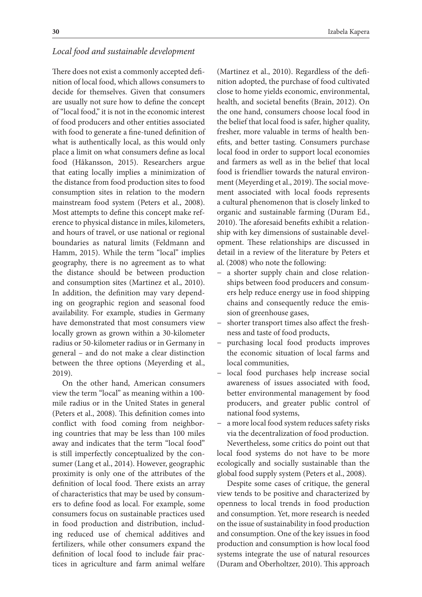#### *Local food and sustainable development*

There does not exist a commonly accepted definition of local food, which allows consumers to decide for themselves. Given that consumers are usually not sure how to define the concept of "local food," it is not in the economic interest of food producers and other entities associated with food to generate a fine-tuned definition of what is authentically local, as this would only place a limit on what consumers define as local food (Håkansson, 2015). Researchers argue that eating locally implies a minimization of the distance from food production sites to food consumption sites in relation to the modern mainstream food system (Peters et al., 2008). Most attempts to define this concept make reference to physical distance in miles, kilometers, and hours of travel, or use national or regional boundaries as natural limits (Feldmann and Hamm, 2015). While the term "local" implies geography, there is no agreement as to what the distance should be between production and consumption sites (Martinez et al., 2010). In addition, the definition may vary depending on geographic region and seasonal food availability. For example, studies in Germany have demonstrated that most consumers view locally grown as grown within a 30-kilometer radius or 50-kilometer radius or in Germany in general – and do not make a clear distinction between the three options (Meyerding et al., 2019).

On the other hand, American consumers view the term "local" as meaning within a 100 mile radius or in the United States in general (Peters et al., 2008). This definition comes into conflict with food coming from neighboring countries that may be less than 100 miles away and indicates that the term "local food" is still imperfectly conceptualized by the consumer (Lang et al., 2014). However, geographic proximity is only one of the attributes of the definition of local food. There exists an array of characteristics that may be used by consumers to define food as local. For example, some consumers focus on sustainable practices used in food production and distribution, including reduced use of chemical additives and fertilizers, while other consumers expand the definition of local food to include fair practices in agriculture and farm animal welfare

(Martinez et al., 2010). Regardless of the definition adopted, the purchase of food cultivated close to home yields economic, environmental, health, and societal benefits (Brain, 2012). On the one hand, consumers choose local food in the belief that local food is safer, higher quality, fresher, more valuable in terms of health benefits, and better tasting. Consumers purchase local food in order to support local economies and farmers as well as in the belief that local food is friendlier towards the natural environment (Meyerding et al., 2019). The social movement associated with local foods represents a cultural phenomenon that is closely linked to organic and sustainable farming (Duram Ed., 2010). The aforesaid benefits exhibit a relationship with key dimensions of sustainable development. These relationships are discussed in detail in a review of the literature by Peters et al. (2008) who note the following:

- − a shorter supply chain and close relationships between food producers and consumers help reduce energy use in food shipping chains and consequently reduce the emission of greenhouse gases,
- − shorter transport times also affect the freshness and taste of food products,
- purchasing local food products improves the economic situation of local farms and local communities,
- − local food purchases help increase social awareness of issues associated with food, better environmental management by food producers, and greater public control of national food systems,
- a more local food system reduces safety risks via the decentralization of food production. Nevertheless, some critics do point out that local food systems do not have to be more ecologically and socially sustainable than the global food supply system (Peters et al., 2008).

Despite some cases of critique, the general view tends to be positive and characterized by openness to local trends in food production and consumption. Yet, more research is needed on the issue of sustainability in food production and consumption. One of the key issues in food production and consumption is how local food systems integrate the use of natural resources (Duram and Oberholtzer, 2010). This approach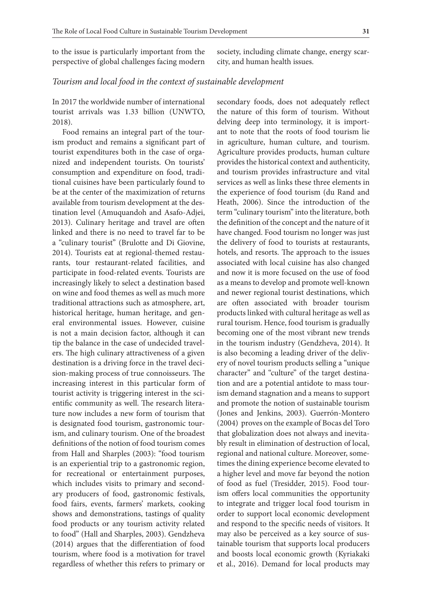to the issue is particularly important from the perspective of global challenges facing modern society, including climate change, energy scarcity, and human health issues.

In 2017 the worldwide number of international tourist arrivals was 1.33 billion (UNWTO, 2018).

Food remains an integral part of the tourism product and remains a significant part of tourist expenditures both in the case of organized and independent tourists. On tourists' consumption and expenditure on food, traditional cuisines have been particularly found to be at the center of the maximization of returns available from tourism development at the destination level (Amuquandoh and Asafo-Adjei, 2013). Culinary heritage and travel are often linked and there is no need to travel far to be a "culinary tourist" (Brulotte and Di Giovine, 2014). Tourists eat at regional-themed restaurants, tour restaurant-related facilities, and participate in food-related events. Tourists are increasingly likely to select a destination based on wine and food themes as well as much more traditional attractions such as atmosphere, art, historical heritage, human heritage, and general environmental issues. However, cuisine is not a main decision factor, although it can tip the balance in the case of undecided travelers. The high culinary attractiveness of a given destination is a driving force in the travel decision-making process of true connoisseurs. The increasing interest in this particular form of tourist activity is triggering interest in the scientific community as well. The research literature now includes a new form of tourism that is designated food tourism, gastronomic tourism, and culinary tourism. One of the broadest definitions of the notion of food tourism comes from Hall and Sharples (2003): "food tourism is an experiential trip to a gastronomic region, for recreational or entertainment purposes, which includes visits to primary and secondary producers of food, gastronomic festivals, food fairs, events, farmers' markets, cooking shows and demonstrations, tastings of quality food products or any tourism activity related to food" (Hall and Sharples, 2003). Gendzheva (2014) argues that the differentiation of food tourism, where food is a motivation for travel regardless of whether this refers to primary or

secondary foods, does not adequately reflect the nature of this form of tourism. Without delving deep into terminology, it is important to note that the roots of food tourism lie in agriculture, human culture, and tourism. Agriculture provides products, human culture provides the historical context and authenticity, and tourism provides infrastructure and vital services as well as links these three elements in the experience of food tourism (du Rand and Heath, 2006). Since the introduction of the term "culinary tourism" into the literature, both the definition of the concept and the nature of it have changed. Food tourism no longer was just the delivery of food to tourists at restaurants, hotels, and resorts. The approach to the issues associated with local cuisine has also changed and now it is more focused on the use of food as a means to develop and promote well-known and newer regional tourist destinations, which are often associated with broader tourism products linked with cultural heritage as well as rural tourism. Hence, food tourism is gradually becoming one of the most vibrant new trends in the tourism industry (Gendzheva, 2014). It is also becoming a leading driver of the delivery of novel tourism products selling a "unique character" and "culture" of the target destination and are a potential antidote to mass tourism demand stagnation and a means to support and promote the notion of sustainable tourism (Jones and Jenkins, 2003). Guerrón-Montero (2004) proves on the example of Bocas del Toro that globalization does not always and inevitably result in elimination of destruction of local, regional and national culture. Moreover, sometimes the dining experience become elevated to a higher level and move far beyond the notion of food as fuel (Tresidder, 2015). Food tourism offers local communities the opportunity to integrate and trigger local food tourism in order to support local economic development and respond to the specific needs of visitors. It may also be perceived as a key source of sustainable tourism that supports local producers and boosts local economic growth (Kyriakaki et al., 2016). Demand for local products may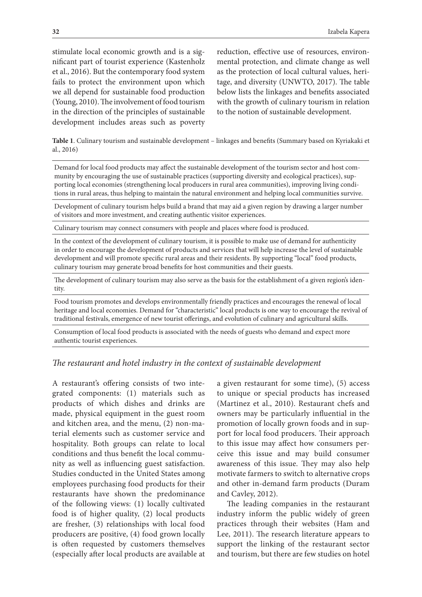stimulate local economic growth and is a significant part of tourist experience (Kastenholz et al., 2016). But the contemporary food system fails to protect the environment upon which we all depend for sustainable food production (Young, 2010). The involvement of food tourism in the direction of the principles of sustainable development includes areas such as poverty

reduction, effective use of resources, environmental protection, and climate change as well as the protection of local cultural values, heritage, and diversity (UNWTO, 2017). The table below lists the linkages and benefits associated with the growth of culinary tourism in relation to the notion of sustainable development.

**Table 1**. Culinary tourism and sustainable development – linkages and benefits (Summary based on Kyriakaki et al., 2016)

Demand for local food products may affect the sustainable development of the tourism sector and host community by encouraging the use of sustainable practices (supporting diversity and ecological practices), supporting local economies (strengthening local producers in rural area communities), improving living conditions in rural areas, thus helping to maintain the natural environment and helping local communities survive.

Development of culinary tourism helps build a brand that may aid a given region by drawing a larger number of visitors and more investment, and creating authentic visitor experiences.

Culinary tourism may connect consumers with people and places where food is produced.

In the context of the development of culinary tourism, it is possible to make use of demand for authenticity in order to encourage the development of products and services that will help increase the level of sustainable development and will promote specific rural areas and their residents. By supporting "local" food products, culinary tourism may generate broad benefits for host communities and their guests.

The development of culinary tourism may also serve as the basis for the establishment of a given region's identity.

Food tourism promotes and develops environmentally friendly practices and encourages the renewal of local heritage and local economies. Demand for "characteristic" local products is one way to encourage the revival of traditional festivals, emergence of new tourist offerings, and evolution of culinary and agricultural skills.

Consumption of local food products is associated with the needs of guests who demand and expect more authentic tourist experiences.

#### *The restaurant and hotel industry in the context of sustainable development*

A restaurant's offering consists of two integrated components: (1) materials such as products of which dishes and drinks are made, physical equipment in the guest room and kitchen area, and the menu, (2) non-material elements such as customer service and hospitality. Both groups can relate to local conditions and thus benefit the local community as well as influencing guest satisfaction. Studies conducted in the United States among employees purchasing food products for their restaurants have shown the predominance of the following views: (1) locally cultivated food is of higher quality, (2) local products are fresher, (3) relationships with local food producers are positive, (4) food grown locally is often requested by customers themselves (especially after local products are available at

a given restaurant for some time), (5) access to unique or special products has increased (Martinez et al., 2010). Restaurant chefs and owners may be particularly influential in the promotion of locally grown foods and in support for local food producers. Their approach to this issue may affect how consumers perceive this issue and may build consumer awareness of this issue. They may also help motivate farmers to switch to alternative crops and other in-demand farm products (Duram and Cavley, 2012).

The leading companies in the restaurant industry inform the public widely of green practices through their websites (Ham and Lee, 2011). The research literature appears to support the linking of the restaurant sector and tourism, but there are few studies on hotel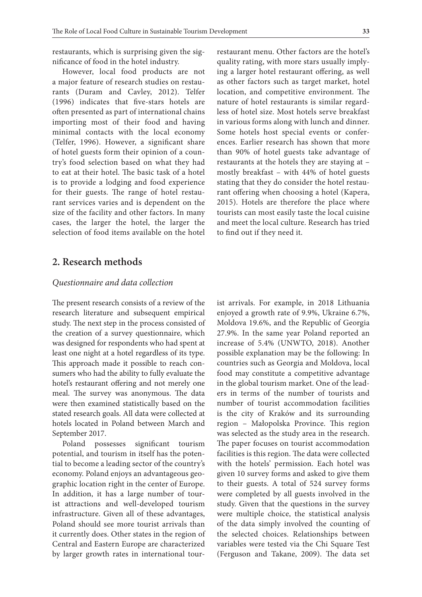restaurants, which is surprising given the significance of food in the hotel industry.

However, local food products are not a major feature of research studies on restaurants (Duram and Cavley, 2012). Telfer (1996) indicates that five-stars hotels are often presented as part of international chains importing most of their food and having minimal contacts with the local economy (Telfer, 1996). However, a significant share of hotel guests form their opinion of a country's food selection based on what they had to eat at their hotel. The basic task of a hotel is to provide a lodging and food experience for their guests. The range of hotel restaurant services varies and is dependent on the size of the facility and other factors. In many cases, the larger the hotel, the larger the selection of food items available on the hotel

restaurant menu. Other factors are the hotel's quality rating, with more stars usually implying a larger hotel restaurant offering, as well as other factors such as target market, hotel location, and competitive environment. The nature of hotel restaurants is similar regardless of hotel size. Most hotels serve breakfast in various forms along with lunch and dinner. Some hotels host special events or conferences. Earlier research has shown that more than 90% of hotel guests take advantage of restaurants at the hotels they are staying at – mostly breakfast – with 44% of hotel guests stating that they do consider the hotel restaurant offering when choosing a hotel (Kapera, 2015). Hotels are therefore the place where tourists can most easily taste the local cuisine and meet the local culture. Research has tried to find out if they need it.

## **2. Research methods**

#### *Questionnaire and data collection*

The present research consists of a review of the research literature and subsequent empirical study. The next step in the process consisted of the creation of a survey questionnaire, which was designed for respondents who had spent at least one night at a hotel regardless of its type. This approach made it possible to reach consumers who had the ability to fully evaluate the hotel's restaurant offering and not merely one meal. The survey was anonymous. The data were then examined statistically based on the stated research goals. All data were collected at hotels located in Poland between March and September 2017.

Poland possesses significant tourism potential, and tourism in itself has the potential to become a leading sector of the country's economy. Poland enjoys an advantageous geographic location right in the center of Europe. In addition, it has a large number of tourist attractions and well-developed tourism infrastructure. Given all of these advantages, Poland should see more tourist arrivals than it currently does. Other states in the region of Central and Eastern Europe are characterized by larger growth rates in international tourist arrivals. For example, in 2018 Lithuania enjoyed a growth rate of 9.9%, Ukraine 6.7%, Moldova 19.6%, and the Republic of Georgia 27.9%. In the same year Poland reported an increase of 5.4% (UNWTO, 2018). Another possible explanation may be the following: In countries such as Georgia and Moldova, local food may constitute a competitive advantage in the global tourism market. One of the leaders in terms of the number of tourists and number of tourist accommodation facilities is the city of Kraków and its surrounding region – Małopolska Province. This region was selected as the study area in the research. The paper focuses on tourist accommodation facilities is this region. The data were collected with the hotels' permission. Each hotel was given 10 survey forms and asked to give them to their guests. A total of 524 survey forms were completed by all guests involved in the study. Given that the questions in the survey were multiple choice, the statistical analysis of the data simply involved the counting of the selected choices. Relationships between variables were tested via the Chi Square Test (Ferguson and Takane, 2009). The data set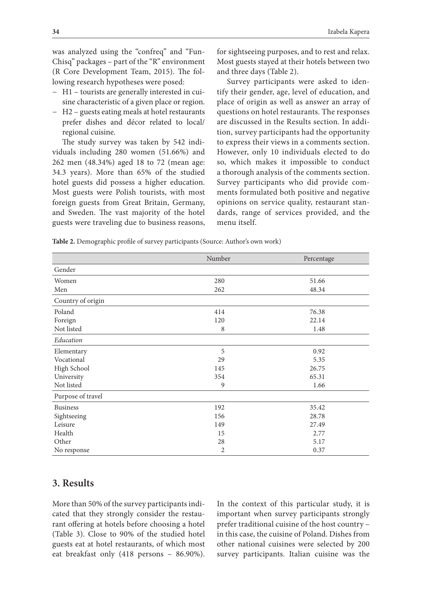was analyzed using the "confreq" and "Fun-Chisq" packages – part of the "R" environment (R Core Development Team, 2015). The following research hypotheses were posed:

- − H1 tourists are generally interested in cuisine characteristic of a given place or region.
- − H2 guests eating meals at hotel restaurants prefer dishes and décor related to local/ regional cuisine.

The study survey was taken by 542 individuals including 280 women (51.66%) and 262 men (48.34%) aged 18 to 72 (mean age: 34.3 years). More than 65% of the studied hotel guests did possess a higher education. Most guests were Polish tourists, with most foreign guests from Great Britain, Germany, and Sweden. The vast majority of the hotel guests were traveling due to business reasons, for sightseeing purposes, and to rest and relax. Most guests stayed at their hotels between two and three days (Table 2).

Survey participants were asked to identify their gender, age, level of education, and place of origin as well as answer an array of questions on hotel restaurants. The responses are discussed in the Results section. In addition, survey participants had the opportunity to express their views in a comments section. However, only 10 individuals elected to do so, which makes it impossible to conduct a thorough analysis of the comments section. Survey participants who did provide comments formulated both positive and negative opinions on service quality, restaurant standards, range of services provided, and the menu itself.

|                   | Number         | Percentage |
|-------------------|----------------|------------|
| Gender            |                |            |
| Women             | 280            | 51.66      |
| Men               | 262            | 48.34      |
| Country of origin |                |            |
| Poland            | 414            | 76.38      |
| Foreign           | 120            | 22.14      |
| Not listed        | 8              | 1.48       |
| Education         |                |            |
| Elementary        | 5              | 0.92       |
| Vocational        | 29             | 5.35       |
| High School       | 145            | 26.75      |
| University        | 354            | 65.31      |
| Not listed        | 9              | 1.66       |
| Purpose of travel |                |            |
| <b>Business</b>   | 192            | 35.42      |
| Sightseeing       | 156            | 28.78      |
| Leisure           | 149            | 27.49      |
| Health            | 15             | 2.77       |
| Other             | 28             | 5.17       |
| No response       | $\overline{c}$ | 0.37       |

**Table 2.** Demographic profile of survey participants (Source: Author's own work)

## **3. Results**

More than 50% of the survey participants indicated that they strongly consider the restaurant offering at hotels before choosing a hotel (Table 3). Close to 90% of the studied hotel guests eat at hotel restaurants, of which most eat breakfast only (418 persons – 86.90%). In the context of this particular study, it is important when survey participants strongly prefer traditional cuisine of the host country – in this case, the cuisine of Poland. Dishes from other national cuisines were selected by 200 survey participants. Italian cuisine was the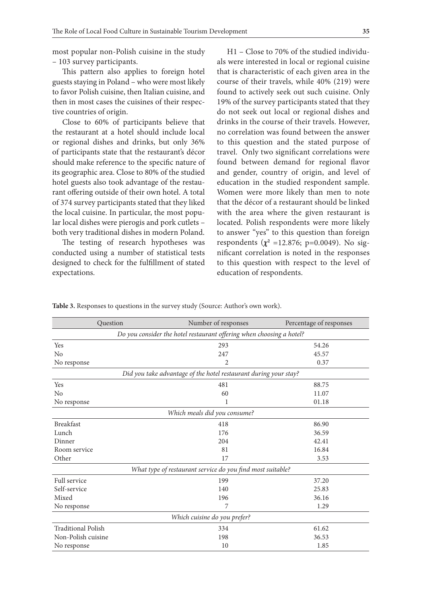most popular non-Polish cuisine in the study – 103 survey participants.

This pattern also applies to foreign hotel guests staying in Poland – who were most likely to favor Polish cuisine, then Italian cuisine, and then in most cases the cuisines of their respective countries of origin.

Close to 60% of participants believe that the restaurant at a hotel should include local or regional dishes and drinks, but only 36% of participants state that the restaurant's décor should make reference to the specific nature of its geographic area. Close to 80% of the studied hotel guests also took advantage of the restaurant offering outside of their own hotel. A total of 374 survey participants stated that they liked the local cuisine. In particular, the most popular local dishes were pierogis and pork cutlets – both very traditional dishes in modern Poland.

The testing of research hypotheses was conducted using a number of statistical tests designed to check for the fulfillment of stated expectations.

H1 – Close to 70% of the studied individuals were interested in local or regional cuisine that is characteristic of each given area in the course of their travels, while 40% (219) were found to actively seek out such cuisine. Only 19% of the survey participants stated that they do not seek out local or regional dishes and drinks in the course of their travels. However, no correlation was found between the answer to this question and the stated purpose of travel. Only two significant correlations were found between demand for regional flavor and gender, country of origin, and level of education in the studied respondent sample. Women were more likely than men to note that the décor of a restaurant should be linked with the area where the given restaurant is located. Polish respondents were more likely to answer "yes" to this question than foreign respondents ( $\chi^2$  =12.876; p=0.0049). No significant correlation is noted in the responses to this question with respect to the level of education of respondents.

|                                                                      | Question | Number of responses | Percentage of responses |  |  |
|----------------------------------------------------------------------|----------|---------------------|-------------------------|--|--|
| Do you consider the hotel restaurant offering when choosing a hotel? |          |                     |                         |  |  |
| Yes                                                                  |          | 293                 | 54.26                   |  |  |
| N <sub>o</sub>                                                       |          | 247                 | 45.57                   |  |  |
| No response                                                          |          | 2                   | 0.37                    |  |  |
| Did you take advantage of the hotel restaurant during your stay?     |          |                     |                         |  |  |
| Yes                                                                  |          | 481                 | 88.75                   |  |  |
| N <sub>0</sub>                                                       |          | 60                  | 11.07                   |  |  |
| No response                                                          |          | 1                   | 01.18                   |  |  |
| Which meals did you consume?                                         |          |                     |                         |  |  |
| <b>Breakfast</b>                                                     |          | 418                 | 86.90                   |  |  |
| Lunch                                                                |          | 176                 | 36.59                   |  |  |
| Dinner                                                               |          | 204                 | 42.41                   |  |  |
| Room service                                                         |          | 81                  | 16.84                   |  |  |
| Other                                                                |          | 17                  | 3.53                    |  |  |
| What type of restaurant service do you find most suitable?           |          |                     |                         |  |  |
| Full service                                                         |          | 199                 | 37.20                   |  |  |
| Self-service                                                         |          | 140                 | 25.83                   |  |  |
| Mixed                                                                |          | 196                 | 36.16                   |  |  |
| No response                                                          |          | 7                   | 1.29                    |  |  |
| Which cuisine do you prefer?                                         |          |                     |                         |  |  |
| <b>Traditional Polish</b>                                            |          | 334                 | 61.62                   |  |  |
| Non-Polish cuisine                                                   |          | 198                 | 36.53                   |  |  |
| No response                                                          |          | 10                  | 1.85                    |  |  |

**Table 3.** Responses to questions in the survey study (Source: Author's own work).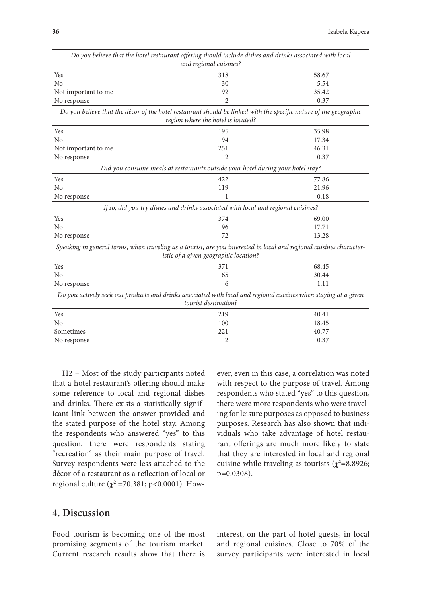|                                                                                                                      | Do you believe that the hotel restaurant offering should include dishes and drinks associated with local          |       |
|----------------------------------------------------------------------------------------------------------------------|-------------------------------------------------------------------------------------------------------------------|-------|
|                                                                                                                      | and regional cuisines?                                                                                            |       |
| Yes                                                                                                                  | 318                                                                                                               | 58.67 |
| N <sub>0</sub>                                                                                                       | 30                                                                                                                | 5.54  |
| Not important to me                                                                                                  | 192                                                                                                               | 35.42 |
| No response                                                                                                          | 2                                                                                                                 | 0.37  |
|                                                                                                                      | Do you believe that the décor of the hotel restaurant should be linked with the specific nature of the geographic |       |
|                                                                                                                      | region where the hotel is located?                                                                                |       |
| Yes                                                                                                                  | 195                                                                                                               | 35.98 |
| N <sub>0</sub>                                                                                                       | 94                                                                                                                | 17.34 |
| Not important to me                                                                                                  | 251                                                                                                               | 46.31 |
| No response                                                                                                          | 2                                                                                                                 | 0.37  |
|                                                                                                                      | Did you consume meals at restaurants outside your hotel during your hotel stay?                                   |       |
| Yes                                                                                                                  | 422                                                                                                               | 77.86 |
| No                                                                                                                   | 119                                                                                                               | 21.96 |
| No response                                                                                                          | 1                                                                                                                 | 0.18  |
|                                                                                                                      | If so, did you try dishes and drinks associated with local and regional cuisines?                                 |       |
| Yes                                                                                                                  | 374                                                                                                               | 69.00 |
| N <sub>o</sub>                                                                                                       | 96                                                                                                                | 17.71 |
| No response                                                                                                          | 72                                                                                                                | 13.28 |
| Speaking in general terms, when traveling as a tourist, are you interested in local and regional cuisines character- |                                                                                                                   |       |
|                                                                                                                      | istic of a given geographic location?                                                                             |       |
| Yes                                                                                                                  | 371                                                                                                               | 68.45 |
| No                                                                                                                   | 165                                                                                                               | 30.44 |
| No response                                                                                                          | 6                                                                                                                 | 1.11  |
|                                                                                                                      | Do you actively seek out products and drinks associated with local and regional cuisines when staying at a given  |       |
|                                                                                                                      | tourist destination?                                                                                              |       |
| Yes                                                                                                                  | 219                                                                                                               | 40.41 |
| No                                                                                                                   | 100                                                                                                               | 18.45 |
| Sometimes                                                                                                            | 221                                                                                                               | 40.77 |
| No response                                                                                                          | 2                                                                                                                 | 0.37  |

H2 – Most of the study participants noted that a hotel restaurant's offering should make some reference to local and regional dishes and drinks. There exists a statistically significant link between the answer provided and the stated purpose of the hotel stay. Among the respondents who answered "yes" to this question, there were respondents stating "recreation" as their main purpose of travel. Survey respondents were less attached to the décor of a restaurant as a reflection of local or regional culture (*χ***<sup>2</sup>** =70.381; p<0.0001). How-

### **4. Discussion**

Food tourism is becoming one of the most promising segments of the tourism market. Current research results show that there is

ever, even in this case, a correlation was noted with respect to the purpose of travel. Among respondents who stated "yes" to this question, there were more respondents who were traveling for leisure purposes as opposed to business purposes. Research has also shown that individuals who take advantage of hotel restaurant offerings are much more likely to state that they are interested in local and regional cuisine while traveling as tourists ( $\chi^2$ =8.8926; p=0.0308).

interest, on the part of hotel guests, in local and regional cuisines. Close to 70% of the survey participants were interested in local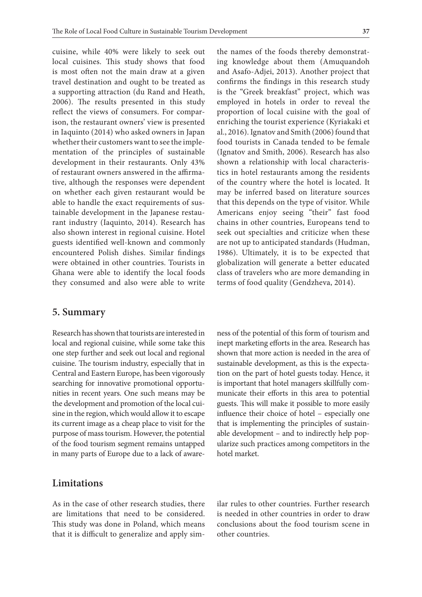cuisine, while 40% were likely to seek out local cuisines. This study shows that food is most often not the main draw at a given travel destination and ought to be treated as a supporting attraction (du Rand and Heath, 2006). The results presented in this study reflect the views of consumers. For comparison, the restaurant owners' view is presented in Iaquinto (2014) who asked owners in Japan whether their customers want to see the implementation of the principles of sustainable development in their restaurants. Only 43% of restaurant owners answered in the affirmative, although the responses were dependent on whether each given restaurant would be able to handle the exact requirements of sustainable development in the Japanese restaurant industry (Iaquinto, 2014). Research has also shown interest in regional cuisine. Hotel guests identified well-known and commonly encountered Polish dishes. Similar findings were obtained in other countries. Tourists in Ghana were able to identify the local foods they consumed and also were able to write

#### **5. Summary**

Research has shown that tourists are interested in local and regional cuisine, while some take this one step further and seek out local and regional cuisine. The tourism industry, especially that in Central and Eastern Europe, has been vigorously searching for innovative promotional opportunities in recent years. One such means may be the development and promotion of the local cuisine in the region, which would allow it to escape its current image as a cheap place to visit for the purpose of mass tourism. However, the potential of the food tourism segment remains untapped in many parts of Europe due to a lack of aware-

the names of the foods thereby demonstrating knowledge about them (Amuquandoh and Asafo-Adjei, 2013). Another project that confirms the findings in this research study is the "Greek breakfast" project, which was employed in hotels in order to reveal the proportion of local cuisine with the goal of enriching the tourist experience (Kyriakaki et al., 2016). Ignatov and Smith (2006) found that food tourists in Canada tended to be female (Ignatov and Smith, 2006). Research has also shown a relationship with local characteristics in hotel restaurants among the residents of the country where the hotel is located. It may be inferred based on literature sources that this depends on the type of visitor. While Americans enjoy seeing "their" fast food chains in other countries, Europeans tend to seek out specialties and criticize when these are not up to anticipated standards (Hudman, 1986). Ultimately, it is to be expected that globalization will generate a better educated class of travelers who are more demanding in terms of food quality (Gendzheva, 2014).

ness of the potential of this form of tourism and inept marketing efforts in the area. Research has shown that more action is needed in the area of sustainable development, as this is the expectation on the part of hotel guests today. Hence, it is important that hotel managers skillfully communicate their efforts in this area to potential guests. This will make it possible to more easily influence their choice of hotel – especially one that is implementing the principles of sustainable development – and to indirectly help popularize such practices among competitors in the hotel market.

#### **Limitations**

As in the case of other research studies, there are limitations that need to be considered. This study was done in Poland, which means that it is difficult to generalize and apply similar rules to other countries. Further research is needed in other countries in order to draw conclusions about the food tourism scene in other countries.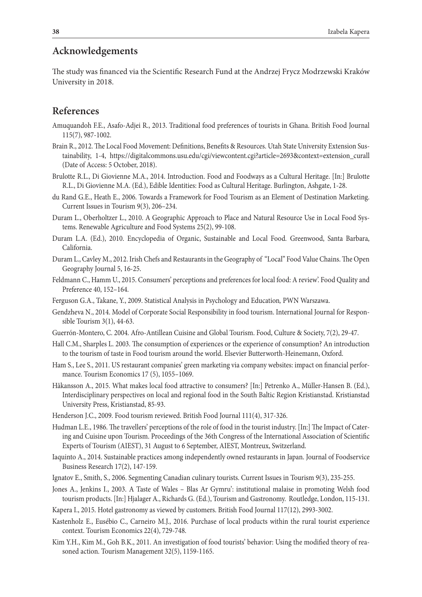# **Acknowledgements**

The study was financed via the Scientific Research Fund at the Andrzej Frycz Modrzewski Kraków University in 2018.

#### **References**

- Amuquandoh F.E., Asafo-Adjei R., 2013. Traditional food preferences of tourists in Ghana. British Food Journal 115(7), 987-1002.
- Brain R., 2012. The Local Food Movement: Definitions, Benefits & Resources. Utah State University Extension Sustainability, 1-4, https://digitalcommons.usu.edu/cgi/viewcontent.cgi?article=2693&context=extension\_curall (Date of Access: 5 October, 2018).
- Brulotte R.L., Di Giovienne M.A., 2014. Introduction. Food and Foodways as a Cultural Heritage. [In:] Brulotte R.L., Di Giovienne M.A. (Ed.), Edible Identities: Food as Cultural Heritage. Burlington, Ashgate, 1-28.
- du Rand G.E., Heath E., 2006. Towards a Framework for Food Tourism as an Element of Destination Marketing. Current Issues in Tourism 9(3), 206–234.
- Duram L., Oberholtzer L., 2010. A Geographic Approach to Place and Natural Resource Use in Local Food Systems. Renewable Agriculture and Food Systems 25(2), 99-108.
- Duram L.A. (Ed.), 2010. Encyclopedia of Organic, Sustainable and Local Food*.* Greenwood, Santa Barbara, California.
- Duram L., Cavley M., 2012. Irish Chefs and Restaurants in the Geography of "Local" Food Value Chains. The Open Geography Journal 5, 16-25.
- Feldmann C., Hamm U., 2015. Consumers' perceptions and preferences for local food: A review'. Food Quality and Preference 40, 152–164.
- Ferguson G.A., Takane, Y., 2009. Statistical Analysis in Psychology and Education*,* PWN Warszawa.
- Gendzheva N., 2014. Model of Corporate Social Responsibility in food tourism. International Journal for Responsible Tourism 3(1), 44-63.
- Guerrón-Montero, C. 2004. Afro-Antillean Cuisine and Global Tourism. Food, Culture & Society, 7(2), 29-47.
- Hall C.M., Sharples L. 2003. The consumption of experiences or the experience of consumption? An introduction to the tourism of taste in Food tourism around the world. Elsevier Butterworth-Heinemann, Oxford.
- Ham S., Lee S., 2011. US restaurant companies' green marketing via company websites: impact on financial performance. Tourism Economics 17 (5), 1055–1069.
- Håkansson A., 2015. What makes local food attractive to consumers? [In:] Petrenko A., Müller-Hansen B. (Ed.), Interdisciplinary perspectives on local and regional food in the South Baltic Region Kristianstad. Kristianstad University Press, Kristianstad, 85-93.
- Henderson J.C., 2009. Food tourism reviewed. British Food Journal 111(4), 317-326.
- Hudman L.E., 1986. The travellers' perceptions of the role of food in the tourist industry. [In:] The Impact of Catering and Cuisine upon Tourism. Proceedings of the 36th Congress of the International Association of Scientific Experts of Tourism (AIEST), 31 August to 6 September, AIEST, Montreux, Switzerland.
- Iaquinto A., 2014. Sustainable practices among independently owned restaurants in Japan. Journal of Foodservice Business Research 17(2), 147-159.
- Ignatov E., Smith, S., 2006. Segmenting Canadian culinary tourists. Current Issues in Tourism 9(3), 235-255.
- Jones A., Jenkins I., 2003. A Taste of Wales Blas Ar Gymru': institutional malaise in promoting Welsh food tourism products. [In:] Hjalager A., Richards G. (Ed.), Tourism and Gastronomy. Routledge, London, 115-131.
- Kapera I., 2015. Hotel gastronomy as viewed by customers. British Food Journal 117(12), 2993-3002.
- Kastenholz E., Eusébio C., Carneiro M.J., 2016. Purchase of local products within the rural tourist experience context. Tourism Economics 22(4), 729-748.
- Kim Y.H., Kim M., Goh B.K., 2011. An investigation of food tourists' behavior: Using the modified theory of reasoned action. Tourism Management 32(5), 1159-1165.